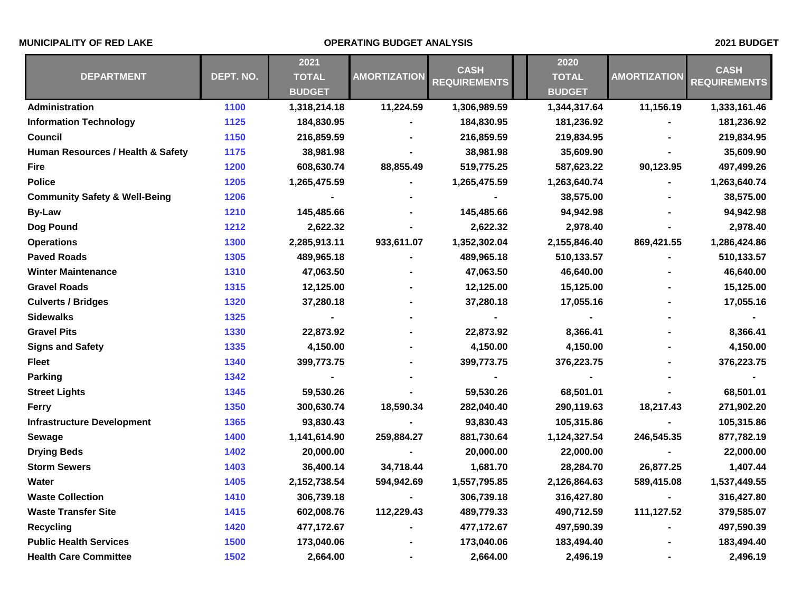## **MUNICIPALITY OF RED LAKE OPERATING BUDGET ANALYSIS 2021 BUDGET**

| <b>DEPARTMENT</b>                        | DEPT. NO. | 2021<br><b>TOTAL</b><br><b>BUDGET</b> | <b>AMORTIZATION</b> | <b>CASH</b><br><b>REQUIREMENTS</b> | 2020          | <b>AMORTIZATION</b> | <b>CASH</b><br><b>REQUIREMENTS</b> |
|------------------------------------------|-----------|---------------------------------------|---------------------|------------------------------------|---------------|---------------------|------------------------------------|
|                                          |           |                                       |                     |                                    | <b>TOTAL</b>  |                     |                                    |
|                                          |           |                                       |                     |                                    | <b>BUDGET</b> |                     |                                    |
| <b>Administration</b>                    | 1100      | 1,318,214.18                          | 11,224.59           | 1,306,989.59                       | 1,344,317.64  | 11,156.19           | 1,333,161.46                       |
| <b>Information Technology</b>            | 1125      | 184,830.95                            |                     | 184,830.95                         | 181,236.92    |                     | 181,236.92                         |
| <b>Council</b>                           | 1150      | 216,859.59                            |                     | 216,859.59                         | 219,834.95    |                     | 219,834.95                         |
| Human Resources / Health & Safety        | 1175      | 38,981.98                             |                     | 38,981.98                          | 35,609.90     |                     | 35,609.90                          |
| <b>Fire</b>                              | 1200      | 608,630.74                            | 88,855.49           | 519,775.25                         | 587,623.22    | 90,123.95           | 497,499.26                         |
| <b>Police</b>                            | 1205      | 1,265,475.59                          |                     | 1,265,475.59                       | 1,263,640.74  |                     | 1,263,640.74                       |
| <b>Community Safety &amp; Well-Being</b> | 1206      |                                       |                     |                                    | 38,575.00     |                     | 38,575.00                          |
| <b>By-Law</b>                            | 1210      | 145,485.66                            |                     | 145,485.66                         | 94,942.98     |                     | 94,942.98                          |
| Dog Pound                                | 1212      | 2,622.32                              |                     | 2,622.32                           | 2,978.40      |                     | 2,978.40                           |
| <b>Operations</b>                        | 1300      | 2,285,913.11                          | 933,611.07          | 1,352,302.04                       | 2,155,846.40  | 869,421.55          | 1,286,424.86                       |
| <b>Paved Roads</b>                       | 1305      | 489,965.18                            |                     | 489,965.18                         | 510,133.57    |                     | 510,133.57                         |
| <b>Winter Maintenance</b>                | 1310      | 47,063.50                             |                     | 47,063.50                          | 46,640.00     |                     | 46,640.00                          |
| <b>Gravel Roads</b>                      | 1315      | 12,125.00                             |                     | 12,125.00                          | 15,125.00     |                     | 15,125.00                          |
| <b>Culverts / Bridges</b>                | 1320      | 37,280.18                             |                     | 37,280.18                          | 17,055.16     |                     | 17,055.16                          |
| <b>Sidewalks</b>                         | 1325      |                                       |                     |                                    | ٠             |                     |                                    |
| <b>Gravel Pits</b>                       | 1330      | 22,873.92                             |                     | 22,873.92                          | 8,366.41      |                     | 8,366.41                           |
| <b>Signs and Safety</b>                  | 1335      | 4,150.00                              |                     | 4,150.00                           | 4,150.00      |                     | 4,150.00                           |
| Fleet                                    | 1340      | 399,773.75                            |                     | 399,773.75                         | 376,223.75    |                     | 376,223.75                         |
| <b>Parking</b>                           | 1342      |                                       |                     |                                    |               |                     |                                    |
| <b>Street Lights</b>                     | 1345      | 59,530.26                             |                     | 59,530.26                          | 68,501.01     |                     | 68,501.01                          |
| <b>Ferry</b>                             | 1350      | 300,630.74                            | 18,590.34           | 282,040.40                         | 290,119.63    | 18,217.43           | 271,902.20                         |
| <b>Infrastructure Development</b>        | 1365      | 93,830.43                             |                     | 93,830.43                          | 105,315.86    |                     | 105,315.86                         |
| <b>Sewage</b>                            | 1400      | 1,141,614.90                          | 259,884.27          | 881,730.64                         | 1,124,327.54  | 246,545.35          | 877,782.19                         |
| <b>Drying Beds</b>                       | 1402      | 20,000.00                             |                     | 20,000.00                          | 22,000.00     |                     | 22,000.00                          |
| <b>Storm Sewers</b>                      | 1403      | 36,400.14                             | 34,718.44           | 1,681.70                           | 28,284.70     | 26,877.25           | 1,407.44                           |
| Water                                    | 1405      | 2,152,738.54                          | 594,942.69          | 1,557,795.85                       | 2,126,864.63  | 589,415.08          | 1,537,449.55                       |
| <b>Waste Collection</b>                  | 1410      | 306,739.18                            |                     | 306,739.18                         | 316,427.80    |                     | 316,427.80                         |
| <b>Waste Transfer Site</b>               | 1415      | 602,008.76                            | 112,229.43          | 489,779.33                         | 490,712.59    | 111,127.52          | 379,585.07                         |
| <b>Recycling</b>                         | 1420      | 477,172.67                            |                     | 477,172.67                         | 497,590.39    |                     | 497,590.39                         |
| <b>Public Health Services</b>            | 1500      | 173,040.06                            |                     | 173,040.06                         | 183,494.40    |                     | 183,494.40                         |
| <b>Health Care Committee</b>             | 1502      | 2,664.00                              |                     | 2,664.00                           | 2,496.19      |                     | 2,496.19                           |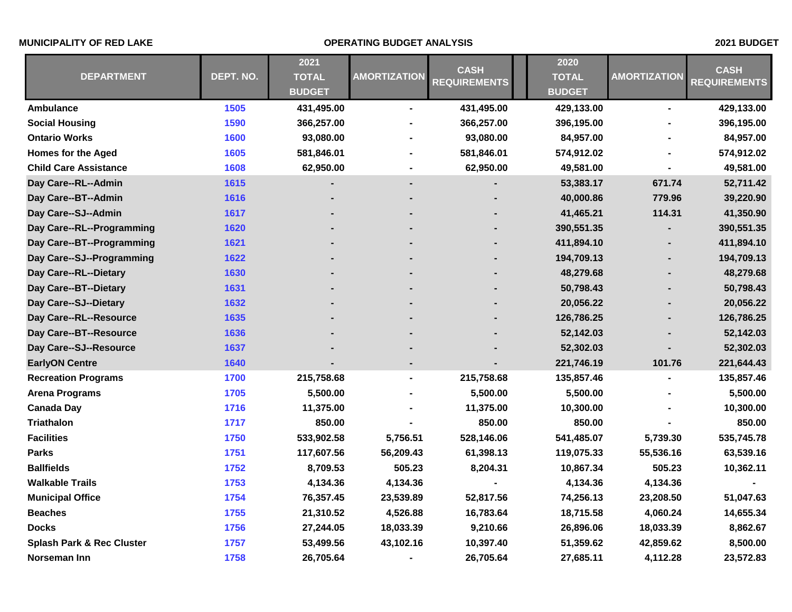## **MUNICIPALITY OF RED LAKE OPERATING BUDGET ANALYSIS 2021 BUDGET**

| <b>DEPARTMENT</b>                    |           | 2021          |                     | <b>CASH</b><br><b>REQUIREMENTS</b> | 2020          | <b>AMORTIZATION</b> | <b>CASH</b><br><b>REQUIREMENTS</b> |
|--------------------------------------|-----------|---------------|---------------------|------------------------------------|---------------|---------------------|------------------------------------|
|                                      | DEPT. NO. | <b>TOTAL</b>  | <b>AMORTIZATION</b> |                                    | <b>TOTAL</b>  |                     |                                    |
|                                      |           | <b>BUDGET</b> |                     |                                    | <b>BUDGET</b> |                     |                                    |
| Ambulance                            | 1505      | 431,495.00    | ۰                   | 431,495.00                         | 429,133.00    | Ξ.                  | 429,133.00                         |
| <b>Social Housing</b>                | 1590      | 366,257.00    |                     | 366,257.00                         | 396,195.00    |                     | 396,195.00                         |
| <b>Ontario Works</b>                 | 1600      | 93,080.00     |                     | 93,080.00                          | 84,957.00     |                     | 84,957.00                          |
| <b>Homes for the Aged</b>            | 1605      | 581,846.01    |                     | 581,846.01                         | 574,912.02    |                     | 574,912.02                         |
| <b>Child Care Assistance</b>         | 1608      | 62,950.00     |                     | 62,950.00                          | 49,581.00     |                     | 49,581.00                          |
| Day Care--RL--Admin                  | 1615      |               |                     |                                    | 53,383.17     | 671.74              | 52,711.42                          |
| Day Care--BT--Admin                  | 1616      |               |                     |                                    | 40,000.86     | 779.96              | 39,220.90                          |
| Day Care--SJ--Admin                  | 1617      |               |                     |                                    | 41,465.21     | 114.31              | 41,350.90                          |
| Day Care--RL--Programming            | 1620      |               |                     |                                    | 390,551.35    |                     | 390,551.35                         |
| Day Care--BT--Programming            | 1621      |               |                     |                                    | 411,894.10    |                     | 411,894.10                         |
| Day Care--SJ--Programming            | 1622      |               |                     |                                    | 194,709.13    |                     | 194,709.13                         |
| Day Care--RL--Dietary                | 1630      |               |                     |                                    | 48,279.68     |                     | 48,279.68                          |
| Day Care--BT--Dietary                | 1631      |               |                     |                                    | 50,798.43     |                     | 50,798.43                          |
| Day Care--SJ--Dietary                | 1632      |               |                     |                                    | 20,056.22     |                     | 20,056.22                          |
| Day Care--RL--Resource               | 1635      |               |                     |                                    | 126,786.25    |                     | 126,786.25                         |
| Day Care--BT--Resource               | 1636      |               |                     |                                    | 52,142.03     |                     | 52,142.03                          |
| Day Care--SJ--Resource               | 1637      |               |                     |                                    | 52,302.03     |                     | 52,302.03                          |
| <b>EarlyON Centre</b>                | 1640      |               |                     |                                    | 221,746.19    | 101.76              | 221,644.43                         |
| <b>Recreation Programs</b>           | 1700      | 215,758.68    | ۰                   | 215,758.68                         | 135,857.46    |                     | 135,857.46                         |
| <b>Arena Programs</b>                | 1705      | 5,500.00      |                     | 5,500.00                           | 5,500.00      |                     | 5,500.00                           |
| <b>Canada Day</b>                    | 1716      | 11,375.00     |                     | 11,375.00                          | 10,300.00     |                     | 10,300.00                          |
| <b>Triathalon</b>                    | 1717      | 850.00        |                     | 850.00                             | 850.00        |                     | 850.00                             |
| <b>Facilities</b>                    | 1750      | 533,902.58    | 5,756.51            | 528,146.06                         | 541,485.07    | 5,739.30            | 535,745.78                         |
| <b>Parks</b>                         | 1751      | 117,607.56    | 56,209.43           | 61,398.13                          | 119,075.33    | 55,536.16           | 63,539.16                          |
| <b>Ballfields</b>                    | 1752      | 8,709.53      | 505.23              | 8,204.31                           | 10,867.34     | 505.23              | 10,362.11                          |
| <b>Walkable Trails</b>               | 1753      | 4,134.36      | 4,134.36            |                                    | 4,134.36      | 4,134.36            |                                    |
| <b>Municipal Office</b>              | 1754      | 76,357.45     | 23,539.89           | 52,817.56                          | 74,256.13     | 23,208.50           | 51,047.63                          |
| <b>Beaches</b>                       | 1755      | 21,310.52     | 4,526.88            | 16,783.64                          | 18,715.58     | 4,060.24            | 14,655.34                          |
| <b>Docks</b>                         | 1756      | 27,244.05     | 18,033.39           | 9,210.66                           | 26,896.06     | 18,033.39           | 8,862.67                           |
| <b>Splash Park &amp; Rec Cluster</b> | 1757      | 53,499.56     | 43,102.16           | 10,397.40                          | 51,359.62     | 42,859.62           | 8,500.00                           |
| Norseman Inn                         | 1758      | 26,705.64     |                     | 26,705.64                          | 27,685.11     | 4,112.28            | 23,572.83                          |